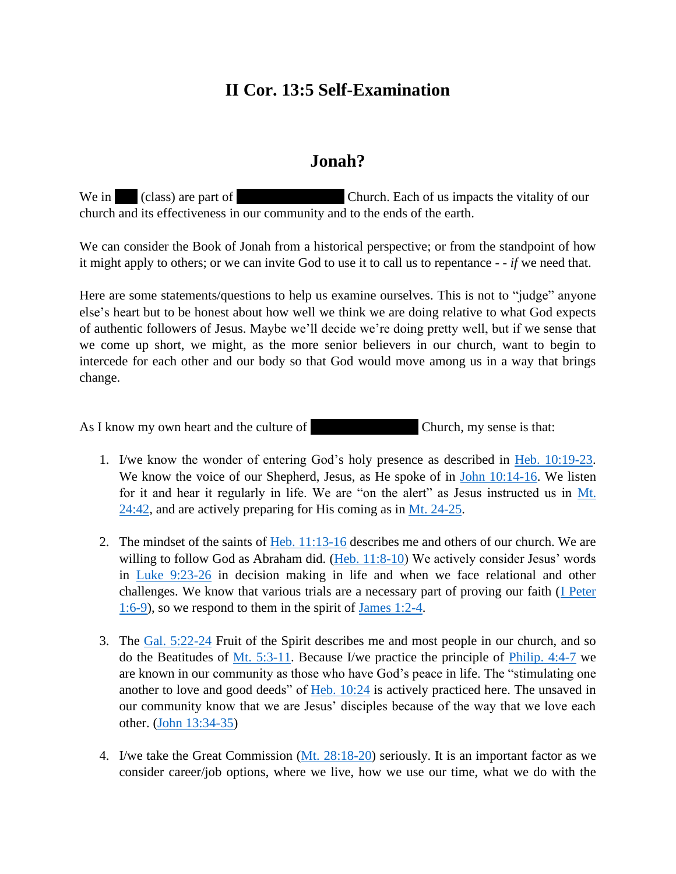## **II Cor. 13:5 Self-Examination**

## **Jonah?**

We in TnT (class) are part of Fairlawn Mennonite Church. Each of us impacts the vitality of our church and its effectiveness in our community and to the ends of the earth.

We can consider the Book of Jonah from a historical perspective; or from the standpoint of how it might apply to others; or we can invite God to use it to call us to repentance - - *if* we need that.

Here are some statements/questions to help us examine ourselves. This is not to "judge" anyone else's heart but to be honest about how well we think we are doing relative to what God expects of authentic followers of Jesus. Maybe we'll decide we're doing pretty well, but if we sense that we come up short, we might, as the more senior believers in our church, want to begin to intercede for each other and our body so that God would move among us in a way that brings change.

As I know my own heart and the culture of Fairlawn Menns Church, my sense is that:

- 1. I/we know the wonder of entering God's holy presence as described in [Heb. 10:19-23.](https://www.biblegateway.com/passage/?search=Hebrews%2010%3A19-23&version=NIV) We know the voice of our Shepherd, Jesus, as He spoke of in [John 10:14-16.](https://www.biblegateway.com/passage/?search=John+10%3A14-16&version=NIV) We listen for it and hear it regularly in life. We are "on the alert" as Jesus instructed us in [Mt.](https://www.biblegateway.com/passage/?search=Mt.+24%3A42&version=NIV)   $24:42$ , and are actively preparing for His coming as in [Mt. 24-25.](https://www.biblegateway.com/passage/?search=Mt.+24-25&version=NIV)
- 2. The mindset of the saints of Heb.  $11:13-16$  describes me and others of our church. We are willing to follow God as Abraham did. [\(Heb. 11:8-10\)](https://www.biblegateway.com/passage/?search=Heb.+11%3A8-10&version=NIV) We actively consider Jesus' words in [Luke 9:23-26](https://www.biblegateway.com/passage/?search=Luke+9%3A23-26+&version=NIV) in decision making in life and when we face relational and other challenges. We know that various trials are a necessary part of proving our faith (*I Peter* [1:6-9\)](https://www.biblegateway.com/passage/?search=I+Peter+1%3A6-9&version=NIV), so we respond to them in the spirit of [James 1:2-4.](https://www.biblegateway.com/passage/?search=James+1%3A2-4&version=NIV)
- 3. The [Gal. 5:22-24](https://www.biblegateway.com/passage/?search=Gal.+5%3A22-24+&version=NIV) Fruit of the Spirit describes me and most people in our church, and so do the Beatitudes of [Mt. 5:3-11.](https://www.biblegateway.com/passage/?search=Mt.+5%3A3-11&version=NIV) Because I/we practice the principle of [Philip. 4:4-7](https://www.biblegateway.com/passage/?search=Philip.+4%3A4-7+&version=NIV) we are known in our community as those who have God's peace in life. The "stimulating one another to love and good deeds" of  $Heb. 10:24$  is actively practiced here. The unsaved in our community know that we are Jesus' disciples because of the way that we love each other. [\(John 13:34-35\)](https://www.biblegateway.com/passage/?search=John+13%3A34-35+&version=NIV)
- 4. I/we take the Great Commission [\(Mt. 28:18-20\)](https://www.biblegateway.com/passage/?search=Mt.+28%3A18-20&version=NIV) seriously. It is an important factor as we consider career/job options, where we live, how we use our time, what we do with the